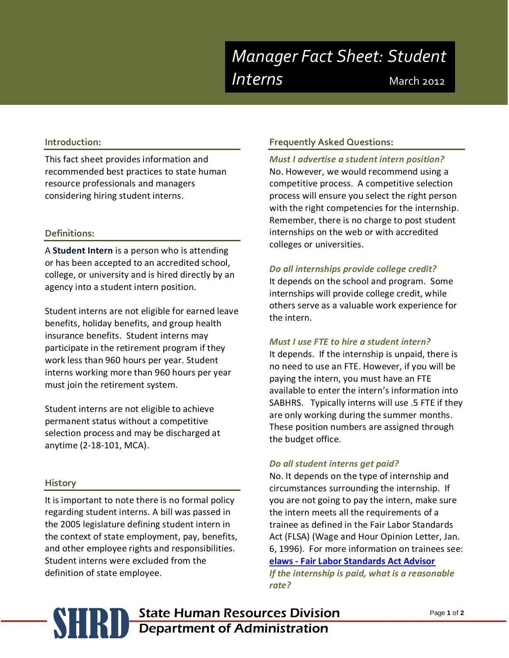### **Introduction:**

This fact sheet provides information and recommended best practices to state human resource professionals and managers considering hiring student interns.

### **Definitions:**

A **Student Intern** is a person who is attending or has been accepted to an accredited school, college, or university and is hired directly by an agency into a student intern position.

Student interns are not eligible for earned leave benefits, holiday benefits, and group health insurance benefits. Student interns may participate in the retirement program if they work less than 960 hours per year. Student interns working more than 960 hours per year must join the retirement system.

Student interns are not eligible to achieve permanent status without a competitive selection process and may be discharged at anytime (2-18-101, MCA).

### **History**

It is important to note there is no formal policy regarding student interns. A bill was passed in the 2005 legislature defining student intern in the context of state employment, pay, benefits, and other employee rights and responsibilities. Student interns were excluded from the definition of state employee.

### **Frequently Asked Questions:**

*Must I advertise a student intern position?* No. However, we would recommend using a competitive process. A competitive selection process will ensure you select the right person with the right competencies for the internship. Remember, there is no charge to post student internships on the web or with accredited colleges or universities.

#### *Do all internships provide college credit?*

It depends on the school and program. Some internships will provide college credit, while others serve as a valuable work experience for the intern.

### *Must I use FTE to hire a student intern?*

It depends. If the internship is unpaid, there is no need to use an FTE. However, if you will be paying the intern, you must have an FTE available to enter the intern's information into SABHRS. Typically interns will use .5 FTE if they are only working during the summer months. These position numbers are assigned through the budget office.

### *Do all student interns get paid?*

No. It depends on the type of internship and circumstances surrounding the internship. If you are not going to pay the intern, make sure the intern meets all the requirements of a trainee as defined in the Fair Labor Standards Act (FLSA) (Wage and Hour Opinion Letter, Jan. 6, 1996). For more information on trainees see:

**elaws - [Fair Labor Standards Act Advisor](http://www.dol.gov/elaws/esa/flsa/docs/trainees.asp)**

*If the internship is paid, what is a reasonable rate?*